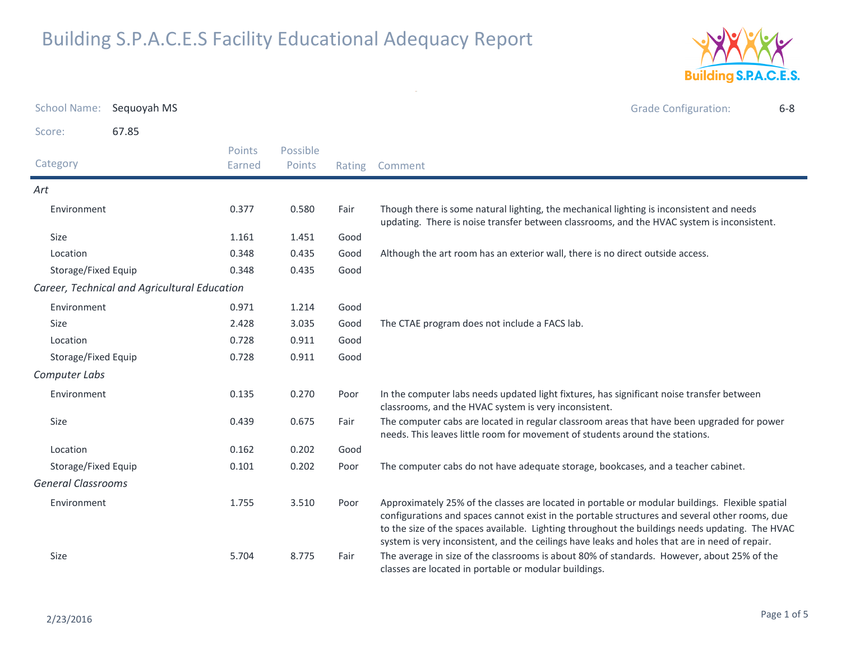

| <b>School Name:</b>       | Sequoyah MS                                  |                  |                    |        | <b>Grade Configuration:</b><br>$6 - 8$                                                                                                                                                                                                                                                                                                                                                                 |
|---------------------------|----------------------------------------------|------------------|--------------------|--------|--------------------------------------------------------------------------------------------------------------------------------------------------------------------------------------------------------------------------------------------------------------------------------------------------------------------------------------------------------------------------------------------------------|
| Score:                    | 67.85                                        |                  |                    |        |                                                                                                                                                                                                                                                                                                                                                                                                        |
| Category                  |                                              | Points<br>Earned | Possible<br>Points | Rating | Comment                                                                                                                                                                                                                                                                                                                                                                                                |
| Art                       |                                              |                  |                    |        |                                                                                                                                                                                                                                                                                                                                                                                                        |
| Environment               |                                              | 0.377            | 0.580              | Fair   | Though there is some natural lighting, the mechanical lighting is inconsistent and needs<br>updating. There is noise transfer between classrooms, and the HVAC system is inconsistent.                                                                                                                                                                                                                 |
| Size                      |                                              | 1.161            | 1.451              | Good   |                                                                                                                                                                                                                                                                                                                                                                                                        |
| Location                  |                                              | 0.348            | 0.435              | Good   | Although the art room has an exterior wall, there is no direct outside access.                                                                                                                                                                                                                                                                                                                         |
| Storage/Fixed Equip       |                                              | 0.348            | 0.435              | Good   |                                                                                                                                                                                                                                                                                                                                                                                                        |
|                           | Career, Technical and Agricultural Education |                  |                    |        |                                                                                                                                                                                                                                                                                                                                                                                                        |
| Environment               |                                              | 0.971            | 1.214              | Good   |                                                                                                                                                                                                                                                                                                                                                                                                        |
| Size                      |                                              | 2.428            | 3.035              | Good   | The CTAE program does not include a FACS lab.                                                                                                                                                                                                                                                                                                                                                          |
| Location                  |                                              | 0.728            | 0.911              | Good   |                                                                                                                                                                                                                                                                                                                                                                                                        |
| Storage/Fixed Equip       |                                              | 0.728            | 0.911              | Good   |                                                                                                                                                                                                                                                                                                                                                                                                        |
| Computer Labs             |                                              |                  |                    |        |                                                                                                                                                                                                                                                                                                                                                                                                        |
| Environment               |                                              | 0.135            | 0.270              | Poor   | In the computer labs needs updated light fixtures, has significant noise transfer between<br>classrooms, and the HVAC system is very inconsistent.                                                                                                                                                                                                                                                     |
| Size                      |                                              | 0.439            | 0.675              | Fair   | The computer cabs are located in regular classroom areas that have been upgraded for power<br>needs. This leaves little room for movement of students around the stations.                                                                                                                                                                                                                             |
| Location                  |                                              | 0.162            | 0.202              | Good   |                                                                                                                                                                                                                                                                                                                                                                                                        |
| Storage/Fixed Equip       |                                              | 0.101            | 0.202              | Poor   | The computer cabs do not have adequate storage, bookcases, and a teacher cabinet.                                                                                                                                                                                                                                                                                                                      |
| <b>General Classrooms</b> |                                              |                  |                    |        |                                                                                                                                                                                                                                                                                                                                                                                                        |
| Environment               |                                              | 1.755            | 3.510              | Poor   | Approximately 25% of the classes are located in portable or modular buildings. Flexible spatial<br>configurations and spaces cannot exist in the portable structures and several other rooms, due<br>to the size of the spaces available. Lighting throughout the buildings needs updating. The HVAC<br>system is very inconsistent, and the ceilings have leaks and holes that are in need of repair. |
| Size                      |                                              | 5.704            | 8.775              | Fair   | The average in size of the classrooms is about 80% of standards. However, about 25% of the<br>classes are located in portable or modular buildings.                                                                                                                                                                                                                                                    |

 $\omega$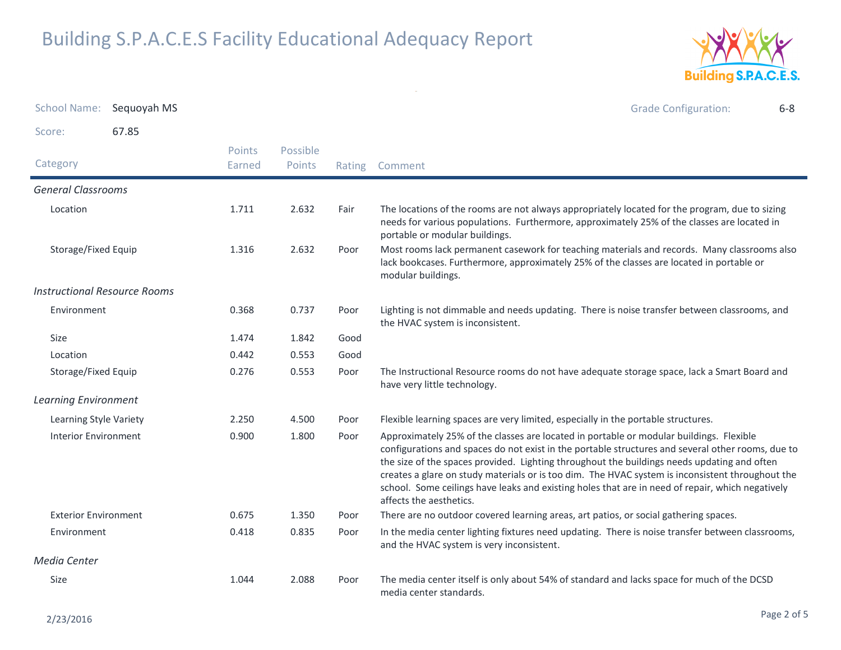

| School Name: Sequoyah MS            |       |                  |                    |        | <b>Grade Configuration:</b><br>$6 - 8$                                                                                                                                                                                                                                                                                                                                                                                                                                                                                         |
|-------------------------------------|-------|------------------|--------------------|--------|--------------------------------------------------------------------------------------------------------------------------------------------------------------------------------------------------------------------------------------------------------------------------------------------------------------------------------------------------------------------------------------------------------------------------------------------------------------------------------------------------------------------------------|
| Score:                              | 67.85 |                  |                    |        |                                                                                                                                                                                                                                                                                                                                                                                                                                                                                                                                |
| Category                            |       | Points<br>Earned | Possible<br>Points | Rating | Comment                                                                                                                                                                                                                                                                                                                                                                                                                                                                                                                        |
| <b>General Classrooms</b>           |       |                  |                    |        |                                                                                                                                                                                                                                                                                                                                                                                                                                                                                                                                |
| Location                            |       | 1.711            | 2.632              | Fair   | The locations of the rooms are not always appropriately located for the program, due to sizing<br>needs for various populations. Furthermore, approximately 25% of the classes are located in<br>portable or modular buildings.                                                                                                                                                                                                                                                                                                |
| Storage/Fixed Equip                 |       | 1.316            | 2.632              | Poor   | Most rooms lack permanent casework for teaching materials and records. Many classrooms also<br>lack bookcases. Furthermore, approximately 25% of the classes are located in portable or<br>modular buildings.                                                                                                                                                                                                                                                                                                                  |
| <b>Instructional Resource Rooms</b> |       |                  |                    |        |                                                                                                                                                                                                                                                                                                                                                                                                                                                                                                                                |
| Environment                         |       | 0.368            | 0.737              | Poor   | Lighting is not dimmable and needs updating. There is noise transfer between classrooms, and<br>the HVAC system is inconsistent.                                                                                                                                                                                                                                                                                                                                                                                               |
| Size                                |       | 1.474            | 1.842              | Good   |                                                                                                                                                                                                                                                                                                                                                                                                                                                                                                                                |
| Location                            |       | 0.442            | 0.553              | Good   |                                                                                                                                                                                                                                                                                                                                                                                                                                                                                                                                |
| Storage/Fixed Equip                 |       | 0.276            | 0.553              | Poor   | The Instructional Resource rooms do not have adequate storage space, lack a Smart Board and<br>have very little technology.                                                                                                                                                                                                                                                                                                                                                                                                    |
| <b>Learning Environment</b>         |       |                  |                    |        |                                                                                                                                                                                                                                                                                                                                                                                                                                                                                                                                |
| Learning Style Variety              |       | 2.250            | 4.500              | Poor   | Flexible learning spaces are very limited, especially in the portable structures.                                                                                                                                                                                                                                                                                                                                                                                                                                              |
| <b>Interior Environment</b>         |       | 0.900            | 1.800              | Poor   | Approximately 25% of the classes are located in portable or modular buildings. Flexible<br>configurations and spaces do not exist in the portable structures and several other rooms, due to<br>the size of the spaces provided. Lighting throughout the buildings needs updating and often<br>creates a glare on study materials or is too dim. The HVAC system is inconsistent throughout the<br>school. Some ceilings have leaks and existing holes that are in need of repair, which negatively<br>affects the aesthetics. |
| <b>Exterior Environment</b>         |       | 0.675            | 1.350              | Poor   | There are no outdoor covered learning areas, art patios, or social gathering spaces.                                                                                                                                                                                                                                                                                                                                                                                                                                           |
| Environment                         |       | 0.418            | 0.835              | Poor   | In the media center lighting fixtures need updating. There is noise transfer between classrooms,<br>and the HVAC system is very inconsistent.                                                                                                                                                                                                                                                                                                                                                                                  |
| Media Center                        |       |                  |                    |        |                                                                                                                                                                                                                                                                                                                                                                                                                                                                                                                                |
| Size                                |       | 1.044            | 2.088              | Poor   | The media center itself is only about 54% of standard and lacks space for much of the DCSD<br>media center standards.                                                                                                                                                                                                                                                                                                                                                                                                          |

 $\sim$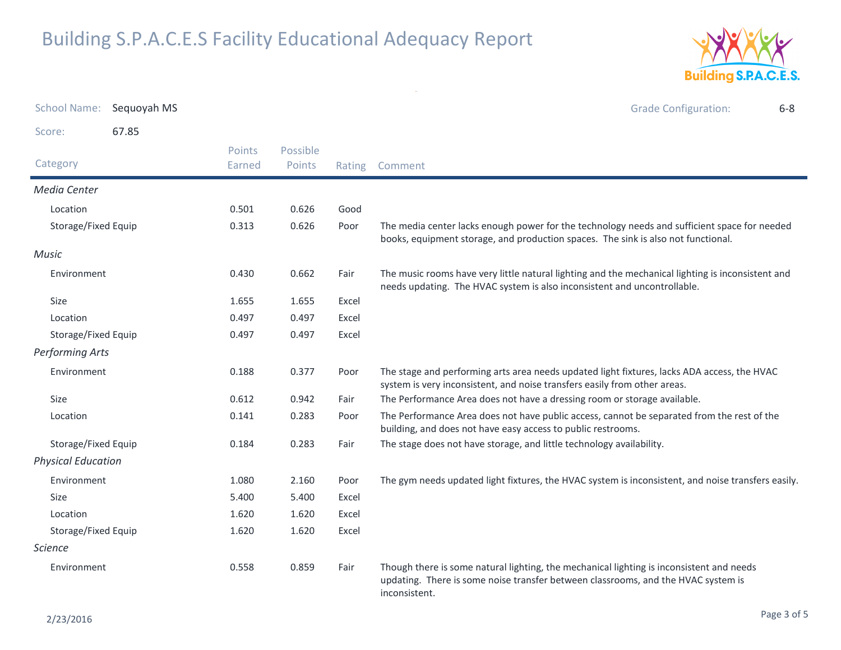

| <b>School Name:</b>       | Sequoyah MS |                  |                    |        | <b>Grade Configuration:</b><br>$6 - 8$                                                                                                                                                         |
|---------------------------|-------------|------------------|--------------------|--------|------------------------------------------------------------------------------------------------------------------------------------------------------------------------------------------------|
| Score:                    | 67.85       |                  |                    |        |                                                                                                                                                                                                |
| Category                  |             | Points<br>Earned | Possible<br>Points | Rating | Comment                                                                                                                                                                                        |
| Media Center              |             |                  |                    |        |                                                                                                                                                                                                |
| Location                  |             | 0.501            | 0.626              | Good   |                                                                                                                                                                                                |
| Storage/Fixed Equip       |             | 0.313            | 0.626              | Poor   | The media center lacks enough power for the technology needs and sufficient space for needed<br>books, equipment storage, and production spaces. The sink is also not functional.              |
| Music                     |             |                  |                    |        |                                                                                                                                                                                                |
| Environment               |             | 0.430            | 0.662              | Fair   | The music rooms have very little natural lighting and the mechanical lighting is inconsistent and<br>needs updating. The HVAC system is also inconsistent and uncontrollable.                  |
| Size                      |             | 1.655            | 1.655              | Excel  |                                                                                                                                                                                                |
| Location                  |             | 0.497            | 0.497              | Excel  |                                                                                                                                                                                                |
| Storage/Fixed Equip       |             | 0.497            | 0.497              | Excel  |                                                                                                                                                                                                |
| <b>Performing Arts</b>    |             |                  |                    |        |                                                                                                                                                                                                |
| Environment               |             | 0.188            | 0.377              | Poor   | The stage and performing arts area needs updated light fixtures, lacks ADA access, the HVAC<br>system is very inconsistent, and noise transfers easily from other areas.                       |
| <b>Size</b>               |             | 0.612            | 0.942              | Fair   | The Performance Area does not have a dressing room or storage available.                                                                                                                       |
| Location                  |             | 0.141            | 0.283              | Poor   | The Performance Area does not have public access, cannot be separated from the rest of the<br>building, and does not have easy access to public restrooms.                                     |
| Storage/Fixed Equip       |             | 0.184            | 0.283              | Fair   | The stage does not have storage, and little technology availability.                                                                                                                           |
| <b>Physical Education</b> |             |                  |                    |        |                                                                                                                                                                                                |
| Environment               |             | 1.080            | 2.160              | Poor   | The gym needs updated light fixtures, the HVAC system is inconsistent, and noise transfers easily.                                                                                             |
| Size                      |             | 5.400            | 5.400              | Excel  |                                                                                                                                                                                                |
| Location                  |             | 1.620            | 1.620              | Excel  |                                                                                                                                                                                                |
| Storage/Fixed Equip       |             | 1.620            | 1.620              | Excel  |                                                                                                                                                                                                |
| <i>Science</i>            |             |                  |                    |        |                                                                                                                                                                                                |
| Environment               |             | 0.558            | 0.859              | Fair   | Though there is some natural lighting, the mechanical lighting is inconsistent and needs<br>updating. There is some noise transfer between classrooms, and the HVAC system is<br>inconsistent. |

 $\sim$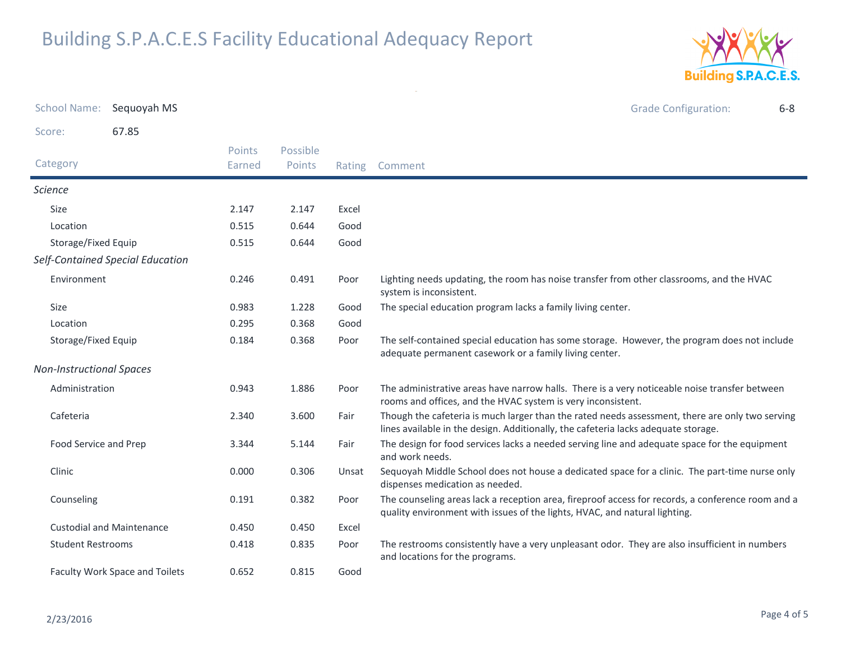

| <b>School Name:</b>             | Sequoyah MS                      |                         |                    |        | <b>Grade Configuration:</b><br>$6 - 8$                                                                                                                                                |
|---------------------------------|----------------------------------|-------------------------|--------------------|--------|---------------------------------------------------------------------------------------------------------------------------------------------------------------------------------------|
| Score:                          | 67.85                            |                         |                    |        |                                                                                                                                                                                       |
| Category                        |                                  | <b>Points</b><br>Earned | Possible<br>Points | Rating | Comment                                                                                                                                                                               |
| <b>Science</b>                  |                                  |                         |                    |        |                                                                                                                                                                                       |
| <b>Size</b>                     |                                  | 2.147                   | 2.147              | Excel  |                                                                                                                                                                                       |
| Location                        |                                  | 0.515                   | 0.644              | Good   |                                                                                                                                                                                       |
| Storage/Fixed Equip             |                                  | 0.515                   | 0.644              | Good   |                                                                                                                                                                                       |
|                                 | Self-Contained Special Education |                         |                    |        |                                                                                                                                                                                       |
| Environment                     |                                  | 0.246                   | 0.491              | Poor   | Lighting needs updating, the room has noise transfer from other classrooms, and the HVAC<br>system is inconsistent.                                                                   |
| Size                            |                                  | 0.983                   | 1.228              | Good   | The special education program lacks a family living center.                                                                                                                           |
| Location                        |                                  | 0.295                   | 0.368              | Good   |                                                                                                                                                                                       |
| Storage/Fixed Equip             |                                  | 0.184                   | 0.368              | Poor   | The self-contained special education has some storage. However, the program does not include<br>adequate permanent casework or a family living center.                                |
| <b>Non-Instructional Spaces</b> |                                  |                         |                    |        |                                                                                                                                                                                       |
| Administration                  |                                  | 0.943                   | 1.886              | Poor   | The administrative areas have narrow halls. There is a very noticeable noise transfer between<br>rooms and offices, and the HVAC system is very inconsistent.                         |
| Cafeteria                       |                                  | 2.340                   | 3.600              | Fair   | Though the cafeteria is much larger than the rated needs assessment, there are only two serving<br>lines available in the design. Additionally, the cafeteria lacks adequate storage. |
| Food Service and Prep           |                                  | 3.344                   | 5.144              | Fair   | The design for food services lacks a needed serving line and adequate space for the equipment<br>and work needs.                                                                      |
| Clinic                          |                                  | 0.000                   | 0.306              | Unsat  | Sequoyah Middle School does not house a dedicated space for a clinic. The part-time nurse only<br>dispenses medication as needed.                                                     |
| Counseling                      |                                  | 0.191                   | 0.382              | Poor   | The counseling areas lack a reception area, fireproof access for records, a conference room and a<br>quality environment with issues of the lights, HVAC, and natural lighting.       |
|                                 | <b>Custodial and Maintenance</b> | 0.450                   | 0.450              | Excel  |                                                                                                                                                                                       |
| <b>Student Restrooms</b>        |                                  | 0.418                   | 0.835              | Poor   | The restrooms consistently have a very unpleasant odor. They are also insufficient in numbers<br>and locations for the programs.                                                      |
| Faculty Work Space and Toilets  |                                  | 0.652                   | 0.815              | Good   |                                                                                                                                                                                       |